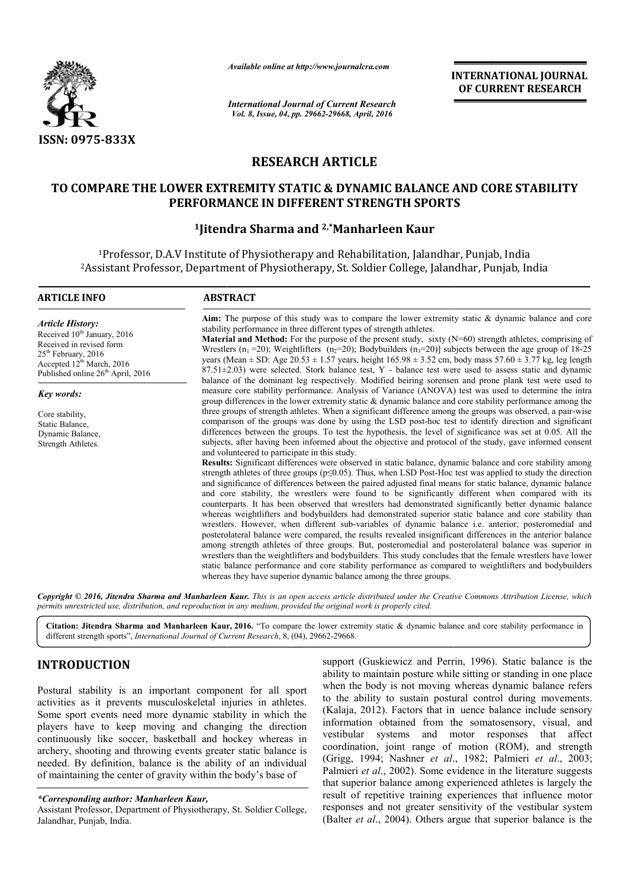

*Available online at http://www.journalcra.com*

# **RESEARCH ARTICLE**

# **TO COMPARE THE LOWER EXTREMITY STATIC & DYNAMIC BALANCE AND CORE STABILITY TO PERFORMANCE IN DIFFERENT STRENGTH SPORTS**

# **1Jitendra Sharma Jitendra and 2,\*Manharleen Kaur**

|                                                                                                                                                                                                                                                                                                                                                                                                                                                                                                                                                                       | unuvic vinnic ur nup.//www.jvurnuicru.com                                                                             | <b>INTERNATIONAL JOURNAL</b><br>OF CURRENT RESEARCH                                                                                                                                                                                                                                                                                                                                                                                                                                                                                                                                                                                                                                                                                                                                                                                                                                                                                                                                                                                                                                                                                                                                                                                                                                                                                                                                                                                                                                                                                                                                                                                                                                                                                                                                                                                                                                                                                                                                                                                                                                                                                                                                                                                                                                                                                                                                                                                                                                                                                                                                                                                                                                                                                                                         |
|-----------------------------------------------------------------------------------------------------------------------------------------------------------------------------------------------------------------------------------------------------------------------------------------------------------------------------------------------------------------------------------------------------------------------------------------------------------------------------------------------------------------------------------------------------------------------|-----------------------------------------------------------------------------------------------------------------------|-----------------------------------------------------------------------------------------------------------------------------------------------------------------------------------------------------------------------------------------------------------------------------------------------------------------------------------------------------------------------------------------------------------------------------------------------------------------------------------------------------------------------------------------------------------------------------------------------------------------------------------------------------------------------------------------------------------------------------------------------------------------------------------------------------------------------------------------------------------------------------------------------------------------------------------------------------------------------------------------------------------------------------------------------------------------------------------------------------------------------------------------------------------------------------------------------------------------------------------------------------------------------------------------------------------------------------------------------------------------------------------------------------------------------------------------------------------------------------------------------------------------------------------------------------------------------------------------------------------------------------------------------------------------------------------------------------------------------------------------------------------------------------------------------------------------------------------------------------------------------------------------------------------------------------------------------------------------------------------------------------------------------------------------------------------------------------------------------------------------------------------------------------------------------------------------------------------------------------------------------------------------------------------------------------------------------------------------------------------------------------------------------------------------------------------------------------------------------------------------------------------------------------------------------------------------------------------------------------------------------------------------------------------------------------------------------------------------------------------------------------------------------------|
|                                                                                                                                                                                                                                                                                                                                                                                                                                                                                                                                                                       | <b>International Journal of Current Research</b><br>Vol. 8, Issue, 04, pp. 29662-29668, April, 2016                   |                                                                                                                                                                                                                                                                                                                                                                                                                                                                                                                                                                                                                                                                                                                                                                                                                                                                                                                                                                                                                                                                                                                                                                                                                                                                                                                                                                                                                                                                                                                                                                                                                                                                                                                                                                                                                                                                                                                                                                                                                                                                                                                                                                                                                                                                                                                                                                                                                                                                                                                                                                                                                                                                                                                                                                             |
| ISSN: 0975-833X                                                                                                                                                                                                                                                                                                                                                                                                                                                                                                                                                       |                                                                                                                       |                                                                                                                                                                                                                                                                                                                                                                                                                                                                                                                                                                                                                                                                                                                                                                                                                                                                                                                                                                                                                                                                                                                                                                                                                                                                                                                                                                                                                                                                                                                                                                                                                                                                                                                                                                                                                                                                                                                                                                                                                                                                                                                                                                                                                                                                                                                                                                                                                                                                                                                                                                                                                                                                                                                                                                             |
|                                                                                                                                                                                                                                                                                                                                                                                                                                                                                                                                                                       | <b>RESEARCH ARTICLE</b>                                                                                               |                                                                                                                                                                                                                                                                                                                                                                                                                                                                                                                                                                                                                                                                                                                                                                                                                                                                                                                                                                                                                                                                                                                                                                                                                                                                                                                                                                                                                                                                                                                                                                                                                                                                                                                                                                                                                                                                                                                                                                                                                                                                                                                                                                                                                                                                                                                                                                                                                                                                                                                                                                                                                                                                                                                                                                             |
|                                                                                                                                                                                                                                                                                                                                                                                                                                                                                                                                                                       |                                                                                                                       | TO COMPARE THE LOWER EXTREMITY STATIC & DYNAMIC BALANCE AND CORE STABILITY<br>PERFORMANCE IN DIFFERENT STRENGTH SPORTS                                                                                                                                                                                                                                                                                                                                                                                                                                                                                                                                                                                                                                                                                                                                                                                                                                                                                                                                                                                                                                                                                                                                                                                                                                                                                                                                                                                                                                                                                                                                                                                                                                                                                                                                                                                                                                                                                                                                                                                                                                                                                                                                                                                                                                                                                                                                                                                                                                                                                                                                                                                                                                                      |
|                                                                                                                                                                                                                                                                                                                                                                                                                                                                                                                                                                       | <sup>1</sup> Jitendra Sharma and <sup>2,*</sup> Manharleen Kaur                                                       |                                                                                                                                                                                                                                                                                                                                                                                                                                                                                                                                                                                                                                                                                                                                                                                                                                                                                                                                                                                                                                                                                                                                                                                                                                                                                                                                                                                                                                                                                                                                                                                                                                                                                                                                                                                                                                                                                                                                                                                                                                                                                                                                                                                                                                                                                                                                                                                                                                                                                                                                                                                                                                                                                                                                                                             |
|                                                                                                                                                                                                                                                                                                                                                                                                                                                                                                                                                                       |                                                                                                                       | <sup>1</sup> Professor, D.A.V Institute of Physiotherapy and Rehabilitation, Jalandhar, Punjab, India<br><sup>2</sup> Assistant Professor, Department of Physiotherapy, St. Soldier College, Jalandhar, Punjab, India                                                                                                                                                                                                                                                                                                                                                                                                                                                                                                                                                                                                                                                                                                                                                                                                                                                                                                                                                                                                                                                                                                                                                                                                                                                                                                                                                                                                                                                                                                                                                                                                                                                                                                                                                                                                                                                                                                                                                                                                                                                                                                                                                                                                                                                                                                                                                                                                                                                                                                                                                       |
| <b>ARTICLE INFO</b>                                                                                                                                                                                                                                                                                                                                                                                                                                                                                                                                                   | <b>ABSTRACT</b>                                                                                                       |                                                                                                                                                                                                                                                                                                                                                                                                                                                                                                                                                                                                                                                                                                                                                                                                                                                                                                                                                                                                                                                                                                                                                                                                                                                                                                                                                                                                                                                                                                                                                                                                                                                                                                                                                                                                                                                                                                                                                                                                                                                                                                                                                                                                                                                                                                                                                                                                                                                                                                                                                                                                                                                                                                                                                                             |
| <b>Article History:</b><br>Received 10 <sup>th</sup> January, 2016<br>Received in revised form<br>25 <sup>th</sup> February, 2016<br>Accepted 12 <sup>th</sup> March, 2016<br>Published online 26 <sup>th</sup> April, 2016<br><b>Key words:</b><br>Core stability,<br>Static Balance,<br>Dynamic Balance,<br>Strength Athletes.                                                                                                                                                                                                                                      | and volunteered to participate in this study.                                                                         | Aim: The purpose of this study was to compare the lower extremity static & dynamic balance and core<br>stability performance in three different types of strength athletes.<br><b>Material and Method:</b> For the purpose of the present study, sixty $(N=60)$ strength athletes, comprising of<br>Wrestlers ( $n_1$ =20); Weightlifters ( $n_2$ =20); Bodybuilders ( $n_3$ =20)] subjects between the age group of 18-25<br>years (Mean $\pm$ SD: Age 20.53 $\pm$ 1.57 years, height 165.98 $\pm$ 3.52 cm, body mass 57.60 $\pm$ 3.77 kg, leg length<br>$87.51\pm2.03$ ) were selected. Stork balance test, Y - balance test were used to assess static and dynamic<br>balance of the dominant leg respectively. Modified beiring sorensen and prone plank test were used to<br>measure core stability performance. Analysis of Variance (ANOVA) test was used to determine the intra<br>group differences in the lower extremity static & dynamic balance and core stability performance among the<br>three groups of strength athletes. When a significant difference among the groups was observed, a pair-wise<br>comparison of the groups was done by using the LSD post-hoc test to identify direction and significant<br>differences between the groups. To test the hypothesis, the level of significance was set at 0.05. All the<br>subjects, after having been informed about the objective and protocol of the study, gave informed consent<br>Results: Significant differences were observed in static balance, dynamic balance and core stability among<br>strength athletes of three groups ( $p \le 0.05$ ). Thus, when LSD Post-Hoc test was applied to study the direction<br>and significance of differences between the paired adjusted final means for static balance, dynamic balance<br>and core stability, the wrestlers were found to be significantly different when compared with its<br>counterparts. It has been observed that wrestlers had demonstrated significantly better dynamic balance<br>whereas weightlifters and bodybuilders had demonstrated superior static balance and core stability than<br>wrestlers. However, when different sub-variables of dynamic balance i.e. anterior, posteromedial and<br>posterolateral balance were compared, the results revealed insignificant differences in the anterior balance<br>among strength athletes of three groups. But, posteromedial and posterolateral balance was superior in<br>wrestlers than the weightlifters and bodybuilders. This study concludes that the female wrestlers have lower<br>static balance performance and core stability performance as compared to weightlifters and bodybuilders<br>whereas they have superior dynamic balance among the three groups. |
|                                                                                                                                                                                                                                                                                                                                                                                                                                                                                                                                                                       | permits unrestricted use, distribution, and reproduction in any medium, provided the original work is properly cited. | Copyright © 2016, Jitendra Sharma and Manharleen Kaur. This is an open access article distributed under the Creative Commons Attribution License, which                                                                                                                                                                                                                                                                                                                                                                                                                                                                                                                                                                                                                                                                                                                                                                                                                                                                                                                                                                                                                                                                                                                                                                                                                                                                                                                                                                                                                                                                                                                                                                                                                                                                                                                                                                                                                                                                                                                                                                                                                                                                                                                                                                                                                                                                                                                                                                                                                                                                                                                                                                                                                     |
|                                                                                                                                                                                                                                                                                                                                                                                                                                                                                                                                                                       | different strength sports", International Journal of Current Research, 8, (04), 29662-29668.                          | Citation: Jitendra Sharma and Manharleen Kaur, 2016. "To compare the lower extremity static & dynamic balance and core stability performance in                                                                                                                                                                                                                                                                                                                                                                                                                                                                                                                                                                                                                                                                                                                                                                                                                                                                                                                                                                                                                                                                                                                                                                                                                                                                                                                                                                                                                                                                                                                                                                                                                                                                                                                                                                                                                                                                                                                                                                                                                                                                                                                                                                                                                                                                                                                                                                                                                                                                                                                                                                                                                             |
| <b>INTRODUCTION</b>                                                                                                                                                                                                                                                                                                                                                                                                                                                                                                                                                   |                                                                                                                       | support (Guskiewicz and Perrin, 1996). Static balance is the<br>ability to maintain posture while sitting or standing in one place                                                                                                                                                                                                                                                                                                                                                                                                                                                                                                                                                                                                                                                                                                                                                                                                                                                                                                                                                                                                                                                                                                                                                                                                                                                                                                                                                                                                                                                                                                                                                                                                                                                                                                                                                                                                                                                                                                                                                                                                                                                                                                                                                                                                                                                                                                                                                                                                                                                                                                                                                                                                                                          |
| Postural stability is an important component for all sport<br>activities as it prevents musculoskeletal injuries in athletes.<br>Some sport events need more dynamic stability in which the<br>players have to keep moving and changing the direction<br>continuously like soccer, basketball and hockey whereas in<br>archery, shooting and throwing events greater static balance is<br>needed. By definition, balance is the ability of an individual<br>of maintaining the center of gravity within the body's base of<br>*Corresponding author: Manharleen Kaur, |                                                                                                                       | when the body is not moving whereas dynamic balance refers<br>to the ability to sustain postural control during movements.<br>(Kalaja, 2012). Factors that in uence balance include sensory<br>information obtained from the somatosensory, visual, and<br>vestibular<br>motor responses<br>affect<br>systems<br>and<br>that<br>coordination, joint range of motion (ROM), and strength<br>(Grigg, 1994; Nashner et al., 1982; Palmieri et al., 2003;<br>Palmieri et al., 2002). Some evidence in the literature suggests<br>that superior balance among experienced athletes is largely the<br>result of repetitive training experiences that influence motor<br>responses and not greater sensitivity of the vestibular system                                                                                                                                                                                                                                                                                                                                                                                                                                                                                                                                                                                                                                                                                                                                                                                                                                                                                                                                                                                                                                                                                                                                                                                                                                                                                                                                                                                                                                                                                                                                                                                                                                                                                                                                                                                                                                                                                                                                                                                                                                            |
| Assistant Professor, Department of Physiotherapy, St. Soldier College,<br>Jalandhar, Punjab, India.                                                                                                                                                                                                                                                                                                                                                                                                                                                                   |                                                                                                                       | (Balter et al., 2004). Others argue that superior balance is the                                                                                                                                                                                                                                                                                                                                                                                                                                                                                                                                                                                                                                                                                                                                                                                                                                                                                                                                                                                                                                                                                                                                                                                                                                                                                                                                                                                                                                                                                                                                                                                                                                                                                                                                                                                                                                                                                                                                                                                                                                                                                                                                                                                                                                                                                                                                                                                                                                                                                                                                                                                                                                                                                                            |

# **INTRODUCTION**

*<sup>\*</sup>Corresponding author: Manharleen Kaur,*

Assistant Professor, Department of Physiotherapy, St. Soldier College, Jalandhar, Punjab, India.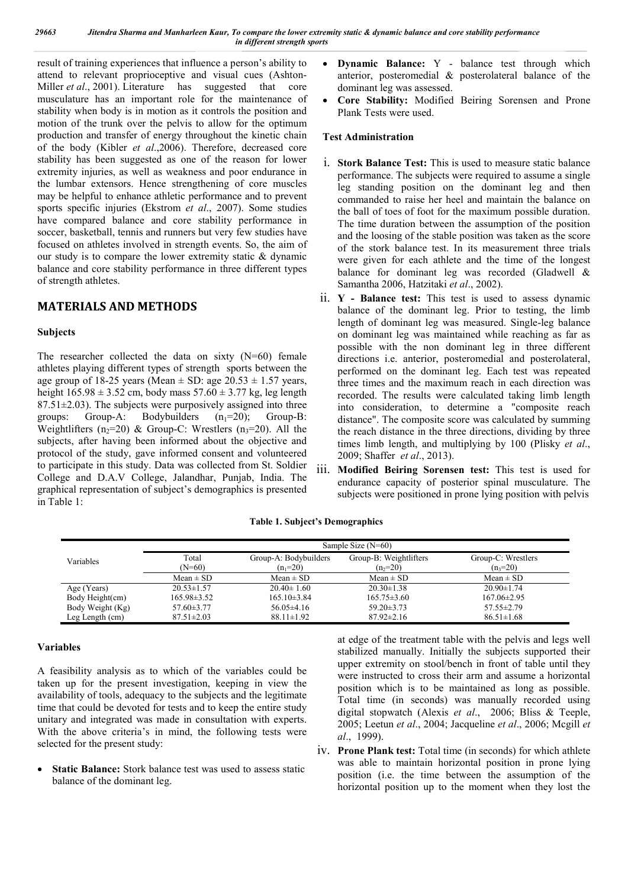result of training experiences that influence a person's ability to attend to relevant proprioceptive and visual cues (Ashton-Miller *et al*., 2001). Literature has suggested that core musculature has an important role for the maintenance of stability when body is in motion as it controls the position and motion of the trunk over the pelvis to allow for the optimum production and transfer of energy throughout the kinetic chain of the body (Kibler *et al*.,2006). Therefore, decreased core stability has been suggested as one of the reason for lower extremity injuries, as well as weakness and poor endurance in the lumbar extensors. Hence strengthening of core muscles may be helpful to enhance athletic performance and to prevent sports specific injuries (Ekstrom *et al*., 2007). Some studies have compared balance and core stability performance in soccer, basketball, tennis and runners but very few studies have focused on athletes involved in strength events. So, the aim of our study is to compare the lower extremity static & dynamic balance and core stability performance in three different types of strength athletes.

# **MATERIALS AND METHODS**

## **Subjects**

The researcher collected the data on sixty (N=60) female athletes playing different types of strength sports between the age group of 18-25 years (Mean  $\pm$  SD: age 20.53  $\pm$  1.57 years, height  $165.98 \pm 3.52$  cm, body mass  $57.60 \pm 3.77$  kg, leg length  $87.51 \pm 2.03$ ). The subjects were purposively assigned into three groups: Group-A: Bodybuilders  $(n_1=20)$ : Group-B: Weightlifters (n<sub>2</sub>=20) & Group-C: Wrestlers (n<sub>3</sub>=20). All the subjects, after having been informed about the objective and protocol of the study, gave informed consent and volunteered to participate in this study. Data was collected from St. Soldier College and D.A.V College, Jalandhar, Punjab, India. The graphical representation of subject's demographics is presented in Table 1:

- **Dynamic Balance:** Y balance test through which anterior, posteromedial & posterolateral balance of the dominant leg was assessed.
- **Core Stability:** Modified Beiring Sorensen and Prone Plank Tests were used.

## **Test Administration**

- i. **Stork Balance Test:** This is used to measure static balance performance. The subjects were required to assume a single leg standing position on the dominant leg and then commanded to raise her heel and maintain the balance on the ball of toes of foot for the maximum possible duration. The time duration between the assumption of the position and the loosing of the stable position was taken as the score of the stork balance test. In its measurement three trials were given for each athlete and the time of the longest balance for dominant leg was recorded (Gladwell & Samantha 2006, Hatzitaki *et al*., 2002).
- ii. **Y - Balance test:** This test is used to assess dynamic balance of the dominant leg. Prior to testing, the limb length of dominant leg was measured. Single-leg balance on dominant leg was maintained while reaching as far as possible with the non dominant leg in three different directions i.e. anterior, posteromedial and posterolateral, performed on the dominant leg. Each test was repeated three times and the maximum reach in each direction was recorded. The results were calculated taking limb length into consideration, to determine a "composite reach distance". The composite score was calculated by summing the reach distance in the three directions, dividing by three times limb length, and multiplying by 100 (Plisky *et al*., 2009; Shaffer *et al*., 2013).
- iii. **Modified Beiring Sorensen test:** This test is used for endurance capacity of posterior spinal musculature. The subjects were positioned in prone lying position with pelvis

|                  | Sample Size $(N=60)$ |                       |                        |                    |  |
|------------------|----------------------|-----------------------|------------------------|--------------------|--|
| Variables        | Total                | Group-A: Bodybuilders | Group-B: Weightlifters | Group-C: Wrestlers |  |
|                  | (N=60)               | $(n_1=20)$            | $(n_2=20)$             | $(n_3=20)$         |  |
|                  | $Mean \pm SD$        | $Mean \pm SD$         | Mean $\pm$ SD          | $Mean \pm SD$      |  |
| Age (Years)      | $20.53 \pm 1.57$     | $20.40 \pm 1.60$      | $20.30 \pm 1.38$       | $20.90 \pm 1.74$   |  |
| Body Height(cm)  | $165.98\pm3.52$      | $165.10\pm3.84$       | $165.75 \pm 3.60$      | $167.06\pm2.95$    |  |
| Body Weight (Kg) | $57.60 \pm 3.77$     | $56.05\pm4.16$        | $59.20 \pm 3.73$       | $57.55 \pm 2.79$   |  |
| Leg Length (cm)  | $87.51 \pm 2.03$     | $88.11 \pm 1.92$      | $87.92 \pm 2.16$       | $86.51 \pm 1.68$   |  |

## **Table 1. Subject's Demographics**

## **Variables**

A feasibility analysis as to which of the variables could be taken up for the present investigation, keeping in view the availability of tools, adequacy to the subjects and the legitimate time that could be devoted for tests and to keep the entire study unitary and integrated was made in consultation with experts. With the above criteria's in mind, the following tests were selected for the present study:

 **Static Balance:** Stork balance test was used to assess static balance of the dominant leg.

at edge of the treatment table with the pelvis and legs well stabilized manually. Initially the subjects supported their upper extremity on stool/bench in front of table until they were instructed to cross their arm and assume a horizontal position which is to be maintained as long as possible. Total time (in seconds) was manually recorded using digital stopwatch (Alexis *et al*., 2006; Bliss & Teeple, 2005; Leetun *et al*., 2004; Jacqueline *et al*., 2006; Mcgill *et al*., 1999).

iv. **Prone Plank test:** Total time (in seconds) for which athlete was able to maintain horizontal position in prone lying position (i.e. the time between the assumption of the horizontal position up to the moment when they lost the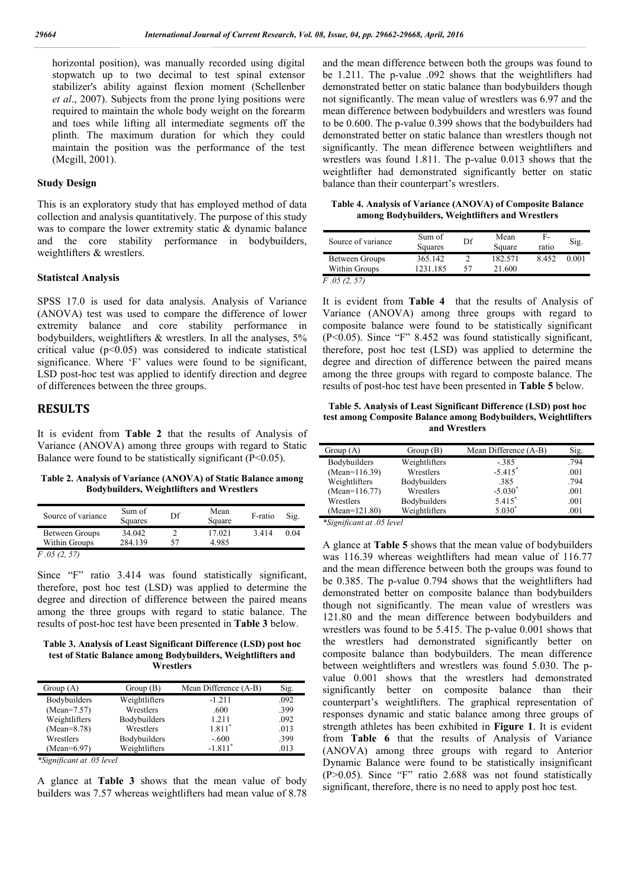horizontal position), was manually recorded using digital stopwatch up to two decimal to test spinal extensor stabilizer's ability against flexion moment (Schellenber *et al*., 2007). Subjects from the prone lying positions were required to maintain the whole body weight on the forearm and toes while lifting all intermediate segments off the plinth. The maximum duration for which they could maintain the position was the performance of the test (Mcgill, 2001).

#### **Study Design**

This is an exploratory study that has employed method of data collection and analysis quantitatively. The purpose of this study was to compare the lower extremity static & dynamic balance and the core stability performance in bodybuilders, weightlifters & wrestlers.

#### **Statistcal Analysis**

SPSS 17.0 is used for data analysis. Analysis of Variance (ANOVA) test was used to compare the difference of lower extremity balance and core stability performance in bodybuilders, weightlifters & wrestlers. In all the analyses, 5% critical value  $(p<0.05)$  was considered to indicate statistical significance. Where 'F' values were found to be significant, LSD post-hoc test was applied to identify direction and degree of differences between the three groups.

## **RESULTS**

It is evident from **Table 2** that the results of Analysis of Variance (ANOVA) among three groups with regard to Static Balance were found to be statistically significant  $(P<0.05)$ .

**Table 2. Analysis of Variance (ANOVA) of Static Balance among Bodybuilders, Weightlifters and Wrestlers**

| Source of variance              | Sum of<br>Squares | Df | Mean<br>Square  | F-ratio | Sig. |
|---------------------------------|-------------------|----|-----------------|---------|------|
| Between Groups<br>Within Groups | 34.042<br>284 139 | 57 | 17 021<br>4.985 | 3414    | 0.04 |
| E 05. (2                        |                   |    |                 |         |      |

*F .05 (2, 57)*

Since "F" ratio 3.414 was found statistically significant, therefore, post hoc test (LSD) was applied to determine the degree and direction of difference between the paired means among the three groups with regard to static balance. The results of post-hoc test have been presented in **Table 3** below.

**Table 3. Analysis of Least Significant Difference (LSD) post hoc test of Static Balance among Bodybuilders, Weightlifters and Wrestlers**

| Group(A)      | Group(B)      | Mean Difference (A-B) | Sig. |
|---------------|---------------|-----------------------|------|
| Bodybuilders  | Weightlifters | $-1.211$              | .092 |
| $(Mean=7.57)$ | Wrestlers     | .600                  | .399 |
| Weightlifters | Bodybuilders  | 1.211                 | .092 |
| $(Mean=8.78)$ | Wrestlers     | $1.811*$              | .013 |
| Wrestlers     | Bodybuilders  | $-.600$               | .399 |
| (Mean=6.97)   | Weightlifters | $-1.811$ <sup>*</sup> | .013 |

*\*Significant at .05 level*

A glance at **Table 3** shows that the mean value of body builders was 7.57 whereas weightlifters had mean value of 8.78

and the mean difference between both the groups was found to be 1.211. The p-value .092 shows that the weightlifters had demonstrated better on static balance than bodybuilders though not significantly. The mean value of wrestlers was 6.97 and the mean difference between bodybuilders and wrestlers was found to be 0.600. The p-value 0.399 shows that the bodybuilders had demonstrated better on static balance than wrestlers though not significantly. The mean difference between weightlifters and wrestlers was found 1.811. The p-value 0.013 shows that the weightlifter had demonstrated significantly better on static balance than their counterpart's wrestlers.

**Table 4. Analysis of Variance (ANOVA) of Composite Balance among Bodybuilders, Weightlifters and Wrestlers**

| Source of variance                           | Sum of<br>Squares   | Df | Mean<br>Square    | F-<br>ratio | Sig.  |
|----------------------------------------------|---------------------|----|-------------------|-------------|-------|
| Between Groups<br>Within Groups              | 365.142<br>1231 185 | 57 | 182.571<br>21.600 | 8452        | 0.001 |
| $\Gamma$ $\Omega$ $\Gamma$ $\Gamma$ $\Gamma$ |                     |    |                   |             |       |

*F .05 (2, 57)*

It is evident from **Table 4** that the results of Analysis of Variance (ANOVA) among three groups with regard to composite balance were found to be statistically significant (P<0.05). Since "F" 8.452 was found statistically significant, therefore, post hoc test (LSD) was applied to determine the degree and direction of difference between the paired means among the three groups with regard to composte balance. The results of post-hoc test have been presented in **Table 5** below.

**Table 5. Analysis of Least Significant Difference (LSD) post hoc test among Composite Balance among Bodybuilders, Weightlifters and Wrestlers**

| Group $(A)$     | Group(B)      | Mean Difference (A-B) | Sig. |
|-----------------|---------------|-----------------------|------|
| Bodybuilders    | Weightlifters | $-0.385$              | .794 |
| $(Mean=116.39)$ | Wrestlers     | $-5.415$ <sup>*</sup> | .001 |
| Weightlifters   | Bodybuilders  | .385                  | .794 |
| $(Mean=116.77)$ | Wrestlers     | $-5.030^*$            | .001 |
| Wrestlers       | Bodybuilders  | $5.415*$              | .001 |
| $(Mean=121.80)$ | Weightlifters | $5.030*$              | .001 |

*\*Significant at .05 level*

A glance at **Table 5** shows that the mean value of bodybuilders was 116.39 whereas weightlifters had mean value of 116.77 and the mean difference between both the groups was found to be 0.385. The p-value 0.794 shows that the weightlifters had demonstrated better on composite balance than bodybuilders though not significantly. The mean value of wrestlers was 121.80 and the mean difference between bodybuilders and wrestlers was found to be 5.415. The p-value 0.001 shows that the wrestlers had demonstrated significantly better on composite balance than bodybuilders. The mean difference between weightlifters and wrestlers was found 5.030. The pvalue 0.001 shows that the wrestlers had demonstrated significantly better on composite balance than their counterpart's weightlifters. The graphical representation of responses dynamic and static balance among three groups of strength athletes has been exhibited in **Figure 1**. It is evident from **Table 6** that the results of Analysis of Variance (ANOVA) among three groups with regard to Anterior Dynamic Balance were found to be statistically insignificant (P>0.05). Since "F" ratio 2.688 was not found statistically significant, therefore, there is no need to apply post hoc test.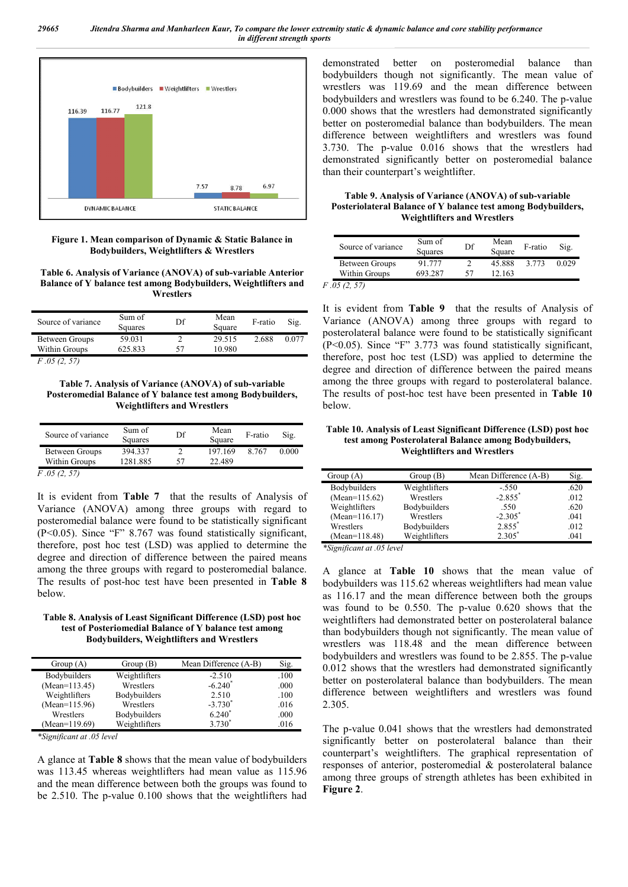

**Figure 1. Mean comparison of Dynamic & Static Balance in Bodybuilders, Weightlifters & Wrestlers**

**Table 6. Analysis of Variance (ANOVA) of sub-variable Anterior Balance of Y balance test among Bodybuilders, Weightlifters and Wrestlers**

| Source of variance                                                                                                                                                                                                                                                                                                                 | Sum of<br>Squares | Df | Mean<br>Square | F-ratio | Sig.  |
|------------------------------------------------------------------------------------------------------------------------------------------------------------------------------------------------------------------------------------------------------------------------------------------------------------------------------------|-------------------|----|----------------|---------|-------|
| Between Groups                                                                                                                                                                                                                                                                                                                     | 59.031            |    | 29.515         | 2.688   | 0.077 |
| Within Groups                                                                                                                                                                                                                                                                                                                      | 625.833           | 57 | 10.980         |         |       |
| $\mathbf{r}$ $\mathbf{r}$ $\mathbf{r}$ $\mathbf{r}$ $\mathbf{r}$ $\mathbf{r}$ $\mathbf{r}$ $\mathbf{r}$ $\mathbf{r}$ $\mathbf{r}$ $\mathbf{r}$ $\mathbf{r}$ $\mathbf{r}$ $\mathbf{r}$ $\mathbf{r}$ $\mathbf{r}$ $\mathbf{r}$ $\mathbf{r}$ $\mathbf{r}$ $\mathbf{r}$ $\mathbf{r}$ $\mathbf{r}$ $\mathbf{r}$ $\mathbf{r}$ $\mathbf{$ |                   |    |                |         |       |

*F .05 (2, 57)*

**Table 7. Analysis of Variance (ANOVA) of sub-variable Posteromedial Balance of Y balance test among Bodybuilders, Weightlifters and Wrestlers**

| Source of variance | Sum of<br>Squares | Df | Mean<br>Square | F-ratio | Sig.  |
|--------------------|-------------------|----|----------------|---------|-------|
| Between Groups     | 394.337           |    | 197.169        | 8 7 6 7 | 0.000 |
| Within Groups      | 1281.885          | 57 | 22.489         |         |       |
| F.05(2, 57)        |                   |    |                |         |       |

It is evident from **Table 7** that the results of Analysis of Variance (ANOVA) among three groups with regard to posteromedial balance were found to be statistically significant (P<0.05). Since "F" 8.767 was found statistically significant, therefore, post hoc test (LSD) was applied to determine the degree and direction of difference between the paired means among the three groups with regard to posteromedial balance. The results of post-hoc test have been presented in **Table 8** below.

#### **Table 8. Analysis of Least Significant Difference (LSD) post hoc test of Posteriomedial Balance of Y balance test among Bodybuilders, Weightlifters and Wrestlers**

| Group $(A)$         | Group(B)      | Mean Difference (A-B) | Sig. |
|---------------------|---------------|-----------------------|------|
| <b>Bodybuilders</b> | Weightlifters | $-2.510$              | .100 |
| $(Mean=113.45)$     | Wrestlers     | $-6.240*$             | .000 |
| Weightlifters       | Bodybuilders  | 2.510                 | .100 |
| $(Mean=115.96)$     | Wrestlers     | $-3.730^{*}$          | .016 |
| Wrestlers           | Bodybuilders  | $6.240^*$             | .000 |
| $(Mean=119.69)$     | Weightlifters | $3.730*$              | .016 |

*\*Significant at .05 level*

A glance at **Table 8** shows that the mean value of bodybuilders was 113.45 whereas weightlifters had mean value as 115.96 and the mean difference between both the groups was found to be 2.510. The p-value 0.100 shows that the weightlifters had demonstrated better on posteromedial balance than bodybuilders though not significantly. The mean value of wrestlers was 119.69 and the mean difference between bodybuilders and wrestlers was found to be 6.240. The p-value 0.000 shows that the wrestlers had demonstrated significantly better on posteromedial balance than bodybuilders. The mean difference between weightlifters and wrestlers was found 3.730. The p-value 0.016 shows that the wrestlers had demonstrated significantly better on posteromedial balance than their counterpart's weightlifter.

**Table 9. Analysis of Variance (ANOVA) of sub-variable Posteriolateral Balance of Y balance test among Bodybuilders, Weightlifters and Wrestlers**

| Source of variance | Sum of<br>Squares | Df | Mean<br>Square | F-ratio | Sig.  |
|--------------------|-------------------|----|----------------|---------|-------|
| Between Groups     | 91 777            |    | 45.888         | 3 773   | 0.029 |
| Within Groups      | 693 287           |    | 12.163         |         |       |

*F .05 (2, 57)*

It is evident from **Table 9** that the results of Analysis of Variance (ANOVA) among three groups with regard to posterolateral balance were found to be statistically significant (P<0.05). Since "F" 3.773 was found statistically significant, therefore, post hoc test (LSD) was applied to determine the degree and direction of difference between the paired means among the three groups with regard to posterolateral balance. The results of post-hoc test have been presented in **Table 10** below.

#### **Table 10. Analysis of Least Significant Difference (LSD) post hoc test among Posterolateral Balance among Bodybuilders, Weightlifters and Wrestlers**

| Group(A)        | Group(B)      | Mean Difference (A-B) | Sig. |
|-----------------|---------------|-----------------------|------|
| Bodybuilders    | Weightlifters | $-.550$               | .620 |
| $(Mean=115.62)$ | Wrestlers     | $-2.855$ <sup>*</sup> | .012 |
| Weightlifters   | Bodybuilders  | .550                  | .620 |
| $(Mean=116.17)$ | Wrestlers     | $-2.305^*$            | .041 |
| Wrestlers       | Bodybuilders  | $2.855*$              | .012 |
| (Mean=118.48)   | Weightlifters | $2.305^*$             | .041 |

*\*Significant at .05 level*

A glance at **Table 10** shows that the mean value of bodybuilders was 115.62 whereas weightlifters had mean value as 116.17 and the mean difference between both the groups was found to be 0.550. The p-value 0.620 shows that the weightlifters had demonstrated better on posterolateral balance than bodybuilders though not significantly. The mean value of wrestlers was 118.48 and the mean difference between bodybuilders and wrestlers was found to be 2.855. The p-value 0.012 shows that the wrestlers had demonstrated significantly better on posterolateral balance than bodybuilders. The mean difference between weightlifters and wrestlers was found 2.305.

The p-value 0.041 shows that the wrestlers had demonstrated significantly better on posterolateral balance than their counterpart's weightlifters. The graphical representation of responses of anterior, posteromedial & posterolateral balance among three groups of strength athletes has been exhibited in **Figure 2**.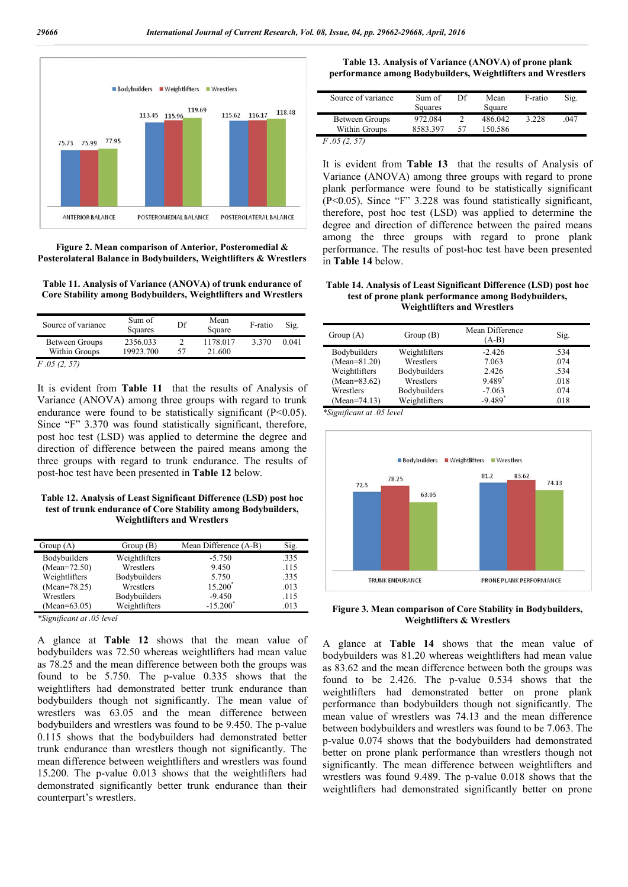

**Figure 2. Mean comparison of Anterior, Posteromedial & Posterolateral Balance in Bodybuilders, Weightlifters & Wrestlers**

**Table 11. Analysis of Variance (ANOVA) of trunk endurance of Core Stability among Bodybuilders, Weightlifters and Wrestlers**

| Source of variance | Sum of<br>Squares | Df | Mean<br>Square | F-ratio | Sig.  |
|--------------------|-------------------|----|----------------|---------|-------|
| Between Groups     | 2356.033          |    | 1178.017       | 3.370   | 0.041 |
| Within Groups      | 19923.700         | 57 | 21.600         |         |       |
| F.05(2, 57)        |                   |    |                |         |       |

It is evident from **Table 11** that the results of Analysis of Variance (ANOVA) among three groups with regard to trunk endurance were found to be statistically significant  $(P<0.05)$ . Since "F" 3.370 was found statistically significant, therefore, post hoc test (LSD) was applied to determine the degree and direction of difference between the paired means among the three groups with regard to trunk endurance. The results of post-hoc test have been presented in **Table 12** below.

**Table 12. Analysis of Least Significant Difference (LSD) post hoc test of trunk endurance of Core Stability among Bodybuilders, Weightlifters and Wrestlers**

| Group $(A)$         | Group(B)      | Mean Difference (A-B) | Sig. |
|---------------------|---------------|-----------------------|------|
| <b>Bodybuilders</b> | Weightlifters | $-5.750$              | .335 |
| $(Mean=72.50)$      | Wrestlers     | 9.450                 | .115 |
| Weightlifters       | Bodybuilders  | 5.750                 | .335 |
| $(Mean=78.25)$      | Wrestlers     | $15.200*$             | .013 |
| Wrestlers           | Bodybuilders  | $-9.450$              | .115 |
| (Mean=63.05)        | Weightlifters | $-15.200*$            | .013 |

*\*Significant at .05 level*

A glance at **Table 12** shows that the mean value of bodybuilders was 72.50 whereas weightlifters had mean value as 78.25 and the mean difference between both the groups was found to be 5.750. The p-value 0.335 shows that the weightlifters had demonstrated better trunk endurance than bodybuilders though not significantly. The mean value of wrestlers was 63.05 and the mean difference between bodybuilders and wrestlers was found to be 9.450. The p-value 0.115 shows that the bodybuilders had demonstrated better trunk endurance than wrestlers though not significantly. The mean difference between weightlifters and wrestlers was found 15.200. The p-value 0.013 shows that the weightlifters had demonstrated significantly better trunk endurance than their counterpart's wrestlers.

| Table 13. Analysis of Variance (ANOVA) of prone plank       |  |
|-------------------------------------------------------------|--|
| performance among Bodybuilders, Weightlifters and Wrestlers |  |

| Source of variance | Sum of   | Df | Mean    | F-ratio | Sig. |  |
|--------------------|----------|----|---------|---------|------|--|
|                    | Squares  |    | Square  |         |      |  |
| Between Groups     | 972.084  |    | 486.042 | 3.228   | .047 |  |
| Within Groups      | 8583.397 | 57 | 150.586 |         |      |  |
| 05(2, 57)          |          |    |         |         |      |  |

It is evident from **Table 13** that the results of Analysis of Variance (ANOVA) among three groups with regard to prone plank performance were found to be statistically significant (P<0.05). Since "F" 3.228 was found statistically significant, therefore, post hoc test (LSD) was applied to determine the degree and direction of difference between the paired means among the three groups with regard to prone plank performance. The results of post-hoc test have been presented in **Table 14** below.

#### **Table 14. Analysis of Least Significant Difference (LSD) post hoc test of prone plank performance among Bodybuilders, Weightlifters and Wrestlers**

| Group $(A)$    | Group(B)      | Mean Difference<br>$(A-B)$ | Sig. |
|----------------|---------------|----------------------------|------|
| Bodybuilders   | Weightlifters | $-2.426$                   | .534 |
| $(Mean=81.20)$ | Wrestlers     | 7.063                      | .074 |
| Weightlifters  | Bodybuilders  | 2.426                      | .534 |
| $(Mean=83.62)$ | Wrestlers     | 9.489*                     | .018 |
| Wrestlers      | Bodybuilders  | $-7.063$                   | .074 |
| (Mean=74.13)   | Weightlifters | $-9.489$ <sup>*</sup>      | .018 |

*\*Significant at .05 level*



**Figure 3. Mean comparison of Core Stability in Bodybuilders, Weightlifters & Wrestlers**

A glance at **Table 14** shows that the mean value of bodybuilders was 81.20 whereas weightlifters had mean value as 83.62 and the mean difference between both the groups was found to be 2.426. The p-value 0.534 shows that the weightlifters had demonstrated better on prone plank performance than bodybuilders though not significantly. The mean value of wrestlers was 74.13 and the mean difference between bodybuilders and wrestlers was found to be 7.063. The p-value 0.074 shows that the bodybuilders had demonstrated better on prone plank performance than wrestlers though not significantly. The mean difference between weightlifters and wrestlers was found 9.489. The p-value 0.018 shows that the weightlifters had demonstrated significantly better on prone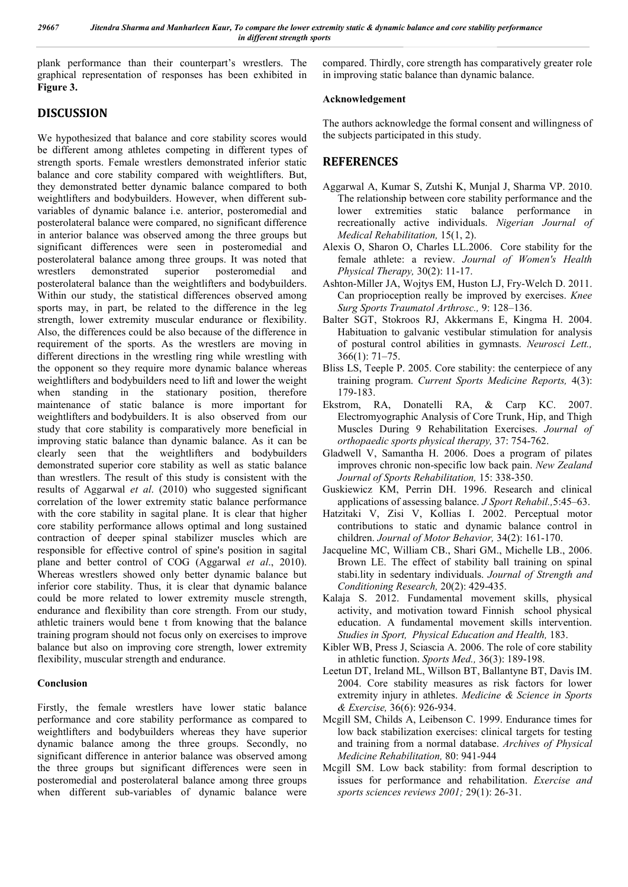plank performance than their counterpart's wrestlers. The graphical representation of responses has been exhibited in **Figure 3.**

# **DISCUSSION**

We hypothesized that balance and core stability scores would be different among athletes competing in different types of strength sports. Female wrestlers demonstrated inferior static balance and core stability compared with weightlifters. But, they demonstrated better dynamic balance compared to both weightlifters and bodybuilders. However, when different subvariables of dynamic balance i.e. anterior, posteromedial and posterolateral balance were compared, no significant difference in anterior balance was observed among the three groups but significant differences were seen in posteromedial and posterolateral balance among three groups. It was noted that wrestlers demonstrated superior posteromedial and posterolateral balance than the weightlifters and bodybuilders. Within our study, the statistical differences observed among sports may, in part, be related to the difference in the leg strength, lower extremity muscular endurance or flexibility. Also, the differences could be also because of the difference in requirement of the sports. As the wrestlers are moving in different directions in the wrestling ring while wrestling with the opponent so they require more dynamic balance whereas weightlifters and bodybuilders need to lift and lower the weight when standing in the stationary position, therefore maintenance of static balance is more important for weightlifters and bodybuilders. It is also observed from our study that core stability is comparatively more beneficial in improving static balance than dynamic balance. As it can be clearly seen that the weightlifters and bodybuilders demonstrated superior core stability as well as static balance than wrestlers. The result of this study is consistent with the results of Aggarwal *et al*. (2010) who suggested significant correlation of the lower extremity static balance performance with the core stability in sagital plane. It is clear that higher core stability performance allows optimal and long sustained contraction of deeper spinal stabilizer muscles which are responsible for effective control of spine's position in sagital plane and better control of COG (Aggarwal *et al*., 2010). Whereas wrestlers showed only better dynamic balance but inferior core stability. Thus, it is clear that dynamic balance could be more related to lower extremity muscle strength, endurance and flexibility than core strength. From our study, athletic trainers would bene t from knowing that the balance training program should not focus only on exercises to improve balance but also on improving core strength, lower extremity flexibility, muscular strength and endurance.

## **Conclusion**

Firstly, the female wrestlers have lower static balance performance and core stability performance as compared to weightlifters and bodybuilders whereas they have superior dynamic balance among the three groups. Secondly, no significant difference in anterior balance was observed among the three groups but significant differences were seen in posteromedial and posterolateral balance among three groups when different sub-variables of dynamic balance were

compared. Thirdly, core strength has comparatively greater role in improving static balance than dynamic balance.

## **Acknowledgement**

The authors acknowledge the formal consent and willingness of the subjects participated in this study.

# **REFERENCES**

- Aggarwal A, Kumar S, Zutshi K, Munjal J, Sharma VP. 2010. The relationship between core stability performance and the lower extremities static balance performance in recreationally active individuals. *Nigerian Journal of Medical Rehabilitation,* 15(1, 2).
- Alexis O, Sharon O, Charles LL.2006. Core stability for the female athlete: a review. *Journal of Women's Health Physical Therapy,* 30(2): 11-17.
- Ashton-Miller JA, Wojtys EM, Huston LJ, Fry-Welch D. 2011. Can proprioception really be improved by exercises. *Knee Surg Sports Traumatol Arthrosc.,* 9: 128–136.
- Balter SGT, Stokroos RJ, Akkermans E, Kingma H. 2004. Habituation to galvanic vestibular stimulation for analysis of postural control abilities in gymnasts. *Neurosci Lett.,* 366(1): 71–75.
- Bliss LS, Teeple P. 2005. Core stability: the centerpiece of any training program. *Current Sports Medicine Reports,* 4(3): 179-183.
- Ekstrom, RA, Donatelli RA, & Carp KC. 2007. Electromyographic Analysis of Core Trunk, Hip, and Thigh Muscles During 9 Rehabilitation Exercises. *Journal of orthopaedic sports physical therapy,* 37: 754-762.
- Gladwell V, Samantha H. 2006. Does a program of pilates improves chronic non-specific low back pain. *New Zealand Journal of Sports Rehabilitation,* 15: 338-350.
- Guskiewicz KM, Perrin DH. 1996. Research and clinical applications of assessing balance. *J Sport Rehabil.,*5:45–63.
- Hatzitaki V, Zisi V, Kollias I. 2002. Perceptual motor contributions to static and dynamic balance control in children. *Journal of Motor Behavior,* 34(2): 161-170.
- Jacqueline MC, William CB., Shari GM., Michelle LB., 2006. Brown LE. The effect of stability ball training on spinal stabi.lity in sedentary individuals. *Journal of Strength and Conditioning Research,* 20(2): 429-435.
- Kalaja S. 2012. Fundamental movement skills, physical activity, and motivation toward Finnish school physical education. A fundamental movement skills intervention. *Studies in Sport, Physical Education and Health,* 183.
- Kibler WB, Press J, Sciascia A. 2006. The role of core stability in athletic function. *Sports Med.,* 36(3): 189-198.
- Leetun DT, Ireland ML, Willson BT, Ballantyne BT, Davis IM. 2004. Core stability measures as risk factors for lower extremity injury in athletes. *Medicine & Science in Sports & Exercise,* 36(6): 926-934.
- Mcgill SM, Childs A, Leibenson C. 1999. Endurance times for low back stabilization exercises: clinical targets for testing and training from a normal database. *Archives of Physical Medicine Rehabilitation,* 80: 941-944
- Mcgill SM. Low back stability: from formal description to issues for performance and rehabilitation. *Exercise and sports sciences reviews 2001;* 29(1): 26-31.